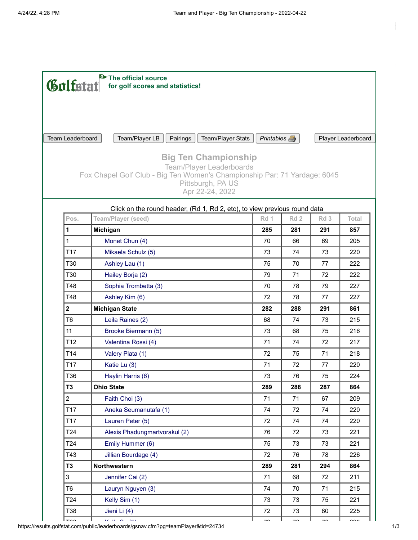|                         | The official source<br>Gulfatat<br>for golf scores and statistics!                             |                                    |                          |                          |        |  |  |
|-------------------------|------------------------------------------------------------------------------------------------|------------------------------------|--------------------------|--------------------------|--------|--|--|
|                         |                                                                                                |                                    |                          |                          |        |  |  |
|                         |                                                                                                |                                    |                          |                          |        |  |  |
|                         |                                                                                                |                                    |                          |                          |        |  |  |
| Team Leaderboard        | Team/Player LB<br>Pairings<br>Team/Player Stats                                                | Printables A<br>Player Leaderboard |                          |                          |        |  |  |
|                         | <b>Big Ten Championship</b>                                                                    |                                    |                          |                          |        |  |  |
|                         | <b>Team/Player Leaderboards</b>                                                                |                                    |                          |                          |        |  |  |
|                         | Fox Chapel Golf Club - Big Ten Women's Championship Par: 71 Yardage: 6045<br>Pittsburgh, PA US |                                    |                          |                          |        |  |  |
|                         | Apr 22-24, 2022                                                                                |                                    |                          |                          |        |  |  |
|                         | Click on the round header, (Rd 1, Rd 2, etc), to view previous round data                      |                                    |                          |                          |        |  |  |
| Pos.                    | <b>Team/Player (seed)</b>                                                                      | Rd 1                               | Rd <sub>2</sub>          | Rd <sub>3</sub>          | Total  |  |  |
| 1                       | Michigan                                                                                       | 285                                | 281                      | 291                      | 857    |  |  |
| $\mathbf{1}$            | Monet Chun (4)                                                                                 | 70                                 | 66                       | 69                       | 205    |  |  |
| T17                     | Mikaela Schulz (5)                                                                             | 73                                 | 74                       | 73                       | 220    |  |  |
| T30                     | Ashley Lau (1)                                                                                 | 75                                 | 70                       | 77                       | 222    |  |  |
| T30                     | Hailey Borja (2)                                                                               | 79                                 | 71                       | 72                       | 222    |  |  |
| T48                     | Sophia Trombetta (3)                                                                           | 70                                 | 78                       | 79                       | 227    |  |  |
| T48                     | Ashley Kim (6)                                                                                 | 72                                 | 78                       | 77                       | 227    |  |  |
| $\overline{\mathbf{2}}$ | <b>Michigan State</b>                                                                          | 282                                | 288                      | 291                      | 861    |  |  |
| T <sub>6</sub>          | Leila Raines (2)                                                                               | 68                                 | 74                       | 73                       | 215    |  |  |
| 11                      | Brooke Biermann (5)                                                                            | 73                                 | 68                       | 75                       | 216    |  |  |
| T <sub>12</sub>         | Valentina Rossi (4)                                                                            | 71                                 | 74                       | 72                       | 217    |  |  |
| T14                     | Valery Plata (1)                                                                               | 72                                 | 75                       | 71                       | 218    |  |  |
| T17                     | Katie Lu (3)                                                                                   | 71                                 | 72                       | 77                       | 220    |  |  |
| T36                     | Haylin Harris (6)                                                                              | 73                                 | 76                       | 75                       | 224    |  |  |
| <b>T3</b>               | <b>Ohio State</b>                                                                              | 289                                | 288                      | 287                      | 864    |  |  |
| $\overline{2}$          | Faith Choi (3)                                                                                 | 71                                 | 71                       | 67                       | 209    |  |  |
| T17                     | Aneka Seumanutafa (1)                                                                          | 74                                 | 72                       | 74                       | 220    |  |  |
| T17                     | Lauren Peter (5)                                                                               | 72                                 | 74                       | 74                       | 220    |  |  |
| T <sub>24</sub>         | Alexis Phadungmartvorakul (2)                                                                  | 76                                 | 72                       | 73                       | 221    |  |  |
| T <sub>24</sub>         | Emily Hummer (6)                                                                               | 75                                 | 73                       | 73                       | 221    |  |  |
| T43                     | Jillian Bourdage (4)                                                                           | 72                                 | 76                       | 78                       | 226    |  |  |
| <b>T3</b>               | Northwestern                                                                                   | 289                                | 281                      | 294                      | 864    |  |  |
| $\mathbf{3}$            | Jennifer Cai (2)                                                                               | 71                                 | 68                       | 72                       | 211    |  |  |
| T <sub>6</sub>          | Lauryn Nguyen (3)                                                                              | 74                                 | 70                       | 71                       | 215    |  |  |
| T <sub>24</sub>         | Kelly Sim (1)                                                                                  | 73                                 | 73                       | 75                       | 221    |  |  |
| T38                     | Jieni Li (4)                                                                                   | 72                                 | 73                       | 80                       | 225    |  |  |
|                         | $\overline{D}$ and $\overline{D}$ and $\overline{D}$                                           | $\overline{a}$                     | $\overline{\phantom{a}}$ | $\overline{\phantom{a}}$ | $\sim$ |  |  |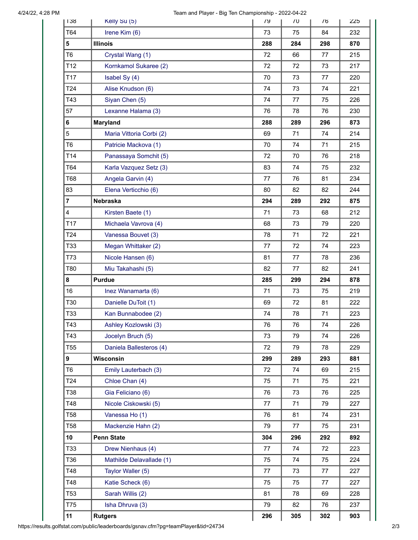| 138             | Kelly Su (5)             | 79  | $\sqrt{0}$ | 76  | 225 |
|-----------------|--------------------------|-----|------------|-----|-----|
| T64             | Irene Kim (6)            | 73  | 75         | 84  | 232 |
| 5               | <b>Illinois</b>          | 288 | 284        | 298 | 870 |
| T <sub>6</sub>  | Crystal Wang (1)         | 72  | 66         | 77  | 215 |
| T <sub>12</sub> | Kornkamol Sukaree (2)    | 72  | 72         | 73  | 217 |
| T17             | Isabel Sy (4)            | 70  | 73         | 77  | 220 |
| T <sub>24</sub> | Alise Knudson (6)        | 74  | 73         | 74  | 221 |
| T43             | Siyan Chen (5)           | 74  | 77         | 75  | 226 |
| 57              | Lexanne Halama (3)       | 76  | 78         | 76  | 230 |
| 6               | <b>Maryland</b>          | 288 | 289        | 296 | 873 |
| 5               | Maria Vittoria Corbi (2) | 69  | 71         | 74  | 214 |
| T <sub>6</sub>  | Patricie Mackova (1)     | 70  | 74         | 71  | 215 |
| T14             | Panassaya Somchit (5)    | 72  | 70         | 76  | 218 |
| T64             | Karla Vazquez Setz (3)   | 83  | 74         | 75  | 232 |
| T68             | Angela Garvin (4)        | 77  | 76         | 81  | 234 |
| 83              | Elena Verticchio (6)     | 80  | 82         | 82  | 244 |
| $\overline{7}$  | Nebraska                 | 294 | 289        | 292 | 875 |
| $\overline{4}$  | Kirsten Baete (1)        | 71  | 73         | 68  | 212 |
| T17             | Michaela Vavrova (4)     | 68  | 73         | 79  | 220 |
| T <sub>24</sub> | Vanessa Bouvet (3)       | 78  | 71         | 72  | 221 |
| T33             | Megan Whittaker (2)      | 77  | 72         | 74  | 223 |
| T73             | Nicole Hansen (6)        | 81  | 77         | 78  | 236 |
| T80             | Miu Takahashi (5)        | 82  | 77         | 82  | 241 |
| 8               | <b>Purdue</b>            | 285 | 299        | 294 | 878 |
| 16              | Inez Wanamarta (6)       | 71  | 73         | 75  | 219 |
| T30             | Danielle DuToit (1)      | 69  | 72         | 81  | 222 |
| T33             | Kan Bunnabodee (2)       | 74  | 78         | 71  | 223 |
| T43             | Ashley Kozlowski (3)     | 76  | 76         | 74  | 226 |
| T43             | Jocelyn Bruch (5)        | 73  | 79         | 74  | 226 |
| T <sub>55</sub> | Daniela Ballesteros (4)  | 72  | 79         | 78  | 229 |
| 9               | Wisconsin                | 299 | 289        | 293 | 881 |
| T <sub>6</sub>  | Emily Lauterbach (3)     | 72  | 74         | 69  | 215 |
| T <sub>24</sub> | Chloe Chan (4)           | 75  | 71         | 75  | 221 |
| T38             | Gia Feliciano (6)        | 76  | 73         | 76  | 225 |
| T48             | Nicole Ciskowski (5)     | 77  | 71         | 79  | 227 |
| <b>T58</b>      | Vanessa Ho (1)           | 76  | 81         | 74  | 231 |
| <b>T58</b>      | Mackenzie Hahn (2)       | 79  | 77         | 75  | 231 |
| 10              | <b>Penn State</b>        | 304 | 296        | 292 | 892 |
| T33             | Drew Nienhaus (4)        | 77  | 74         | 72  | 223 |
| T36             | Mathilde Delavallade (1) | 75  | 74         | 75  | 224 |
| T48             | Taylor Waller (5)        | 77  | 73         | 77  | 227 |
| T48             | Katie Scheck (6)         | 75  | 75         | 77  | 227 |
| T53             | Sarah Willis (2)         | 81  | 78         | 69  | 228 |
| T75             | Isha Dhruva (3)          | 79  | 82         | 76  | 237 |
| 11              | <b>Rutgers</b>           | 296 | 305        | 302 | 903 |

https://results.golfstat.com/public/leaderboards/gsnav.cfm?pg=teamPlayer&tid=24734 2/3